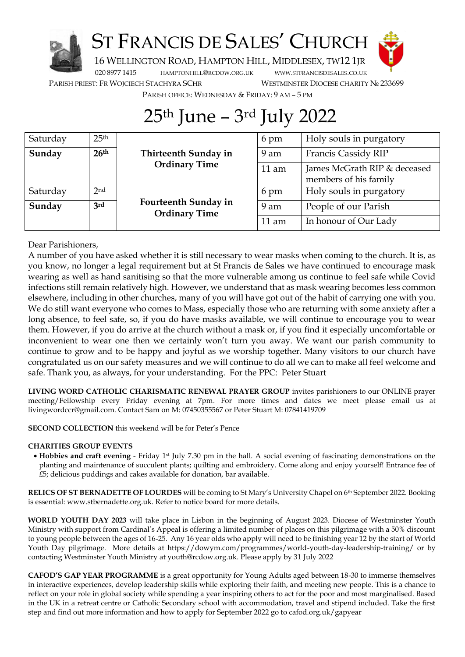

## ST FRANCIS DE SALES' CHURCH



16 WELLINGTON ROAD, HAMPTON HILL, MIDDLESEX, TW12 1JR

020 8977 1415 [HAMPTONHILL](mailto:hamptonhill@rcdow.org.uk)@RCDOW.ORG.UK WWW.STFRANCISDESALES.CO.UK

PARISH PRIEST: FR WOJCIECH STACHYRA SCHR WESTMINSTER DIOCESE CHARITY № 233699

PARISH OFFICE: WEDNESDAY & FRIDAY: 9 AM – 5 PM

## 25th June – 3rd July 2022

| Saturday | 25 <sup>th</sup> |                                              | 6 pm            | Holy souls in purgatory                               |  |
|----------|------------------|----------------------------------------------|-----------------|-------------------------------------------------------|--|
| Sunday   | 26 <sup>th</sup> | Thirteenth Sunday in<br><b>Ordinary Time</b> | 9 am            | Francis Cassidy RIP                                   |  |
|          |                  |                                              | $11$ am         | James McGrath RIP & deceased<br>members of his family |  |
| Saturday | 2 <sub>nd</sub>  |                                              | 6 pm            | Holy souls in purgatory                               |  |
| Sunday   | 3rd              | Fourteenth Sunday in<br><b>Ordinary Time</b> | 9 am            | People of our Parish                                  |  |
|          |                  |                                              | $11 \text{ am}$ | In honour of Our Lady                                 |  |

Dear Parishioners,

A number of you have asked whether it is still necessary to wear masks when coming to the church. It is, as you know, no longer a legal requirement but at St Francis de Sales we have continued to encourage mask wearing as well as hand sanitising so that the more vulnerable among us continue to feel safe while Covid infections still remain relatively high. However, we understand that as mask wearing becomes less common elsewhere, including in other churches, many of you will have got out of the habit of carrying one with you. We do still want everyone who comes to Mass, especially those who are returning with some anxiety after a long absence, to feel safe, so, if you do have masks available, we will continue to encourage you to wear them. However, if you do arrive at the church without a mask or, if you find it especially uncomfortable or inconvenient to wear one then we certainly won't turn you away. We want our parish community to continue to grow and to be happy and joyful as we worship together. Many visitors to our church have congratulated us on our safety measures and we will continue to do all we can to make all feel welcome and safe. Thank you, as always, for your understanding. For the PPC: Peter Stuart

**LIVING WORD CATHOLIC CHARISMATIC RENEWAL PRAYER GROUP** invites parishioners to our ONLINE prayer meeting/Fellowship every Friday evening at 7pm. For more times and dates we meet please email us at livingwordccr@gmail.com. Contact Sam on M: 07450355567 or Peter Stuart M: 07841419709

**SECOND COLLECTION** this weekend will be for Peter's Pence

## **CHARITIES GROUP EVENTS**

• **Hobbies and craft evening** - Friday 1st July 7.30 pm in the hall. A social evening of fascinating demonstrations on the planting and maintenance of succulent plants; quilting and embroidery. Come along and enjoy yourself! Entrance fee of £5; delicious puddings and cakes available for donation, bar available.

**RELICS OF ST BERNADETTE OF LOURDES** will be coming to St Mary's University Chapel on 6th September 2022. Booking is essential: www.stbernadette.org.uk. Refer to notice board for more details.

**WORLD YOUTH DAY 2023** will take place in Lisbon in the beginning of August 2023. Diocese of Westminster Youth Ministry with support from Cardinal's Appeal is offering a limited number of places on this pilgrimage with a 50% discount to young people between the ages of 16-25. Any 16 year olds who apply will need to be finishing year 12 by the start of World Youth Day pilgrimage. More details at https://dowym.com/programmes/world-youth-day-leadership-training/ or by contacting Westminster Youth Ministry at youth@rcdow.org.uk. Please apply by 31 July 2022

**CAFOD'S GAP YEAR PROGRAMME** is a great opportunity for Young Adults aged between 18-30 to immerse themselves in interactive experiences, develop leadership skills while exploring their faith, and meeting new people. This is a chance to reflect on your role in global society while spending a year inspiring others to act for the poor and most marginalised. Based in the UK in a retreat centre or Catholic Secondary school with accommodation, travel and stipend included. Take the first step and find out more information and how to apply for September 2022 go to cafod.org.uk/gapyear